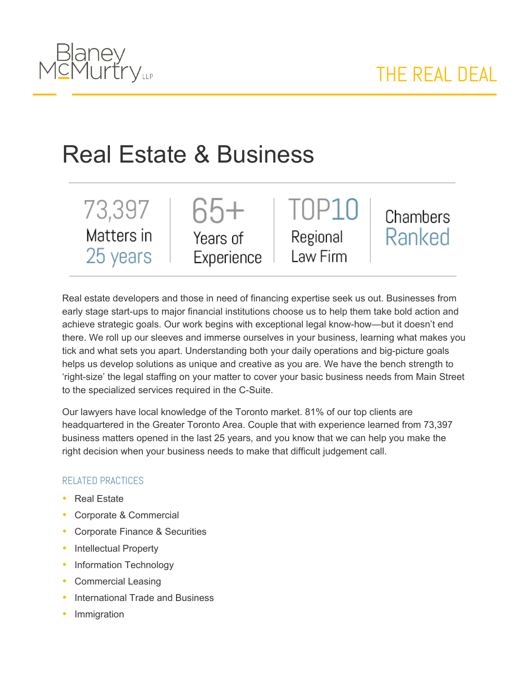

## Real Estate & Business

73,397 Matters in 25 years





Chambers Ranked

Real estate developers and those in need of financing expertise seek us out. Businesses from early stage start-ups to major financial institutions choose us to help them take bold action and achieve strategic goals. Our work begins with exceptional legal know-how—but it doesn't end there. We roll up our sleeves and immerse ourselves in your business, learning what makes you tick and what sets you apart. Understanding both your daily operations and big-picture goals helps us develop solutions as unique and creative as you are. We have the bench strength to 'right-size' the legal staffing on your matter to cover your basic business needs from Main Street to the specialized services required in the C-Suite.

Our lawyers have local knowledge of the Toronto market. 81% of our top clients are headquartered in the Greater Toronto Area. Couple that with experience learned from 73,397 business matters opened in the last 25 years, and you know that we can help you make the right decision when your business needs to make that difficult judgement call.

## RELATED PRACTICES

- Real Estate
- Corporate & Commercial
- Corporate Finance & Securities
- Intellectual Property
- Information Technology
- Commercial Leasing
- International Trade and Business
- Immigration